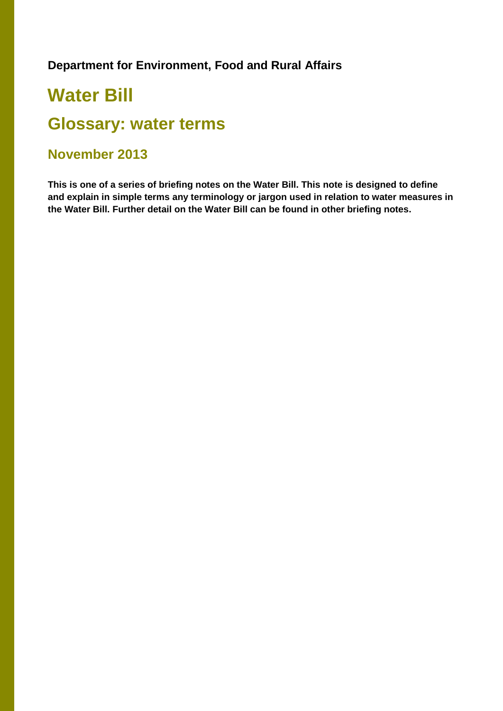## **Department for Environment, Food and Rural Affairs**

## **Water Bill**

## **Glossary: water terms**

## **November 2013**

**This is one of a series of briefing notes on the Water Bill. This note is designed to define and explain in simple terms any terminology or jargon used in relation to water measures in the Water Bill. Further detail on the Water Bill can be found in other briefing notes.**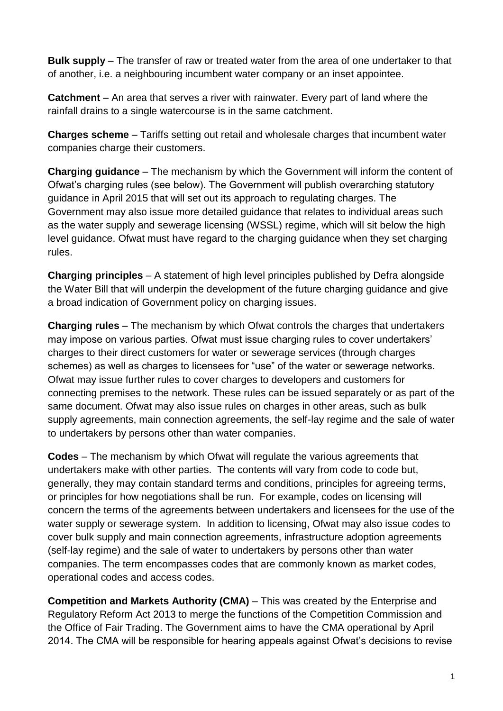**Bulk supply** – The transfer of raw or treated water from the area of one undertaker to that of another, i.e. a neighbouring incumbent water company or an inset appointee.

**Catchment** – An area that serves a river with rainwater. Every part of land where the rainfall drains to a single watercourse is in the same catchment.

**Charges scheme** – Tariffs setting out retail and wholesale charges that incumbent water companies charge their customers.

**Charging guidance** – The mechanism by which the Government will inform the content of Ofwat's charging rules (see below). The Government will publish overarching statutory guidance in April 2015 that will set out its approach to regulating charges. The Government may also issue more detailed guidance that relates to individual areas such as the water supply and sewerage licensing (WSSL) regime, which will sit below the high level guidance. Ofwat must have regard to the charging guidance when they set charging rules.

**Charging principles** – A statement of high level principles published by Defra alongside the Water Bill that will underpin the development of the future charging guidance and give a broad indication of Government policy on charging issues.

**Charging rules** – The mechanism by which Ofwat controls the charges that undertakers may impose on various parties. Ofwat must issue charging rules to cover undertakers' charges to their direct customers for water or sewerage services (through charges schemes) as well as charges to licensees for "use" of the water or sewerage networks. Ofwat may issue further rules to cover charges to developers and customers for connecting premises to the network. These rules can be issued separately or as part of the same document. Ofwat may also issue rules on charges in other areas, such as bulk supply agreements, main connection agreements, the self-lay regime and the sale of water to undertakers by persons other than water companies.

**Codes** – The mechanism by which Ofwat will regulate the various agreements that undertakers make with other parties. The contents will vary from code to code but, generally, they may contain standard terms and conditions, principles for agreeing terms, or principles for how negotiations shall be run. For example, codes on licensing will concern the terms of the agreements between undertakers and licensees for the use of the water supply or sewerage system. In addition to licensing, Ofwat may also issue codes to cover bulk supply and main connection agreements, infrastructure adoption agreements (self-lay regime) and the sale of water to undertakers by persons other than water companies. The term encompasses codes that are commonly known as market codes, operational codes and access codes.

**Competition and Markets Authority (CMA)** – This was created by the Enterprise and Regulatory Reform Act 2013 to merge the functions of the Competition Commission and the Office of Fair Trading. The Government aims to have the CMA operational by April 2014. The CMA will be responsible for hearing appeals against Ofwat's decisions to revise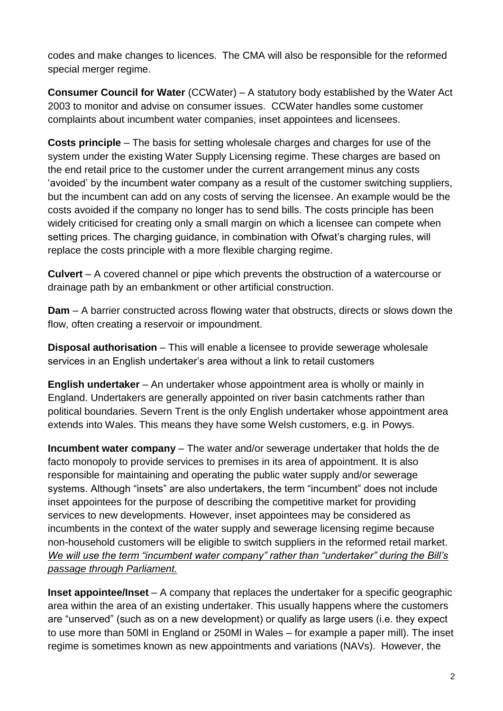codes and make changes to licences. The CMA will also be responsible for the reformed special merger regime.

**Consumer Council for Water** (CCWater) – A statutory body established by the Water Act 2003 to monitor and advise on consumer issues. CCWater handles some customer complaints about incumbent water companies, inset appointees and licensees.

**Costs principle** – The basis for setting wholesale charges and charges for use of the system under the existing Water Supply Licensing regime. These charges are based on the end retail price to the customer under the current arrangement minus any costs 'avoided' by the incumbent water company as a result of the customer switching suppliers, but the incumbent can add on any costs of serving the licensee. An example would be the costs avoided if the company no longer has to send bills. The costs principle has been widely criticised for creating only a small margin on which a licensee can compete when setting prices. The charging guidance, in combination with Ofwat's charging rules, will replace the costs principle with a more flexible charging regime.

**Culvert** – A covered channel or pipe which prevents the obstruction of a watercourse or drainage path by an embankment or other artificial construction.

**Dam** – A barrier constructed across flowing water that obstructs, directs or slows down the flow, often creating a reservoir or impoundment.

**Disposal authorisation** – This will enable a licensee to provide sewerage wholesale services in an English undertaker's area without a link to retail customers

**English undertaker** – An undertaker whose appointment area is wholly or mainly in England. Undertakers are generally appointed on river basin catchments rather than political boundaries. Severn Trent is the only English undertaker whose appointment area extends into Wales. This means they have some Welsh customers, e.g. in Powys.

**Incumbent water company** – The water and/or sewerage undertaker that holds the de facto monopoly to provide services to premises in its area of appointment. It is also responsible for maintaining and operating the public water supply and/or sewerage systems. Although "insets" are also undertakers, the term "incumbent" does not include inset appointees for the purpose of describing the competitive market for providing services to new developments. However, inset appointees may be considered as incumbents in the context of the water supply and sewerage licensing regime because non-household customers will be eligible to switch suppliers in the reformed retail market. *We will use the term "incumbent water company" rather than "undertaker" during the Bill's passage through Parliament.*

**Inset appointee/Inset** – A company that replaces the undertaker for a specific geographic area within the area of an existing undertaker. This usually happens where the customers are "unserved" (such as on a new development) or qualify as large users (i.e. they expect to use more than 50Ml in England or 250Ml in Wales – for example a paper mill). The inset regime is sometimes known as new appointments and variations (NAVs). However, the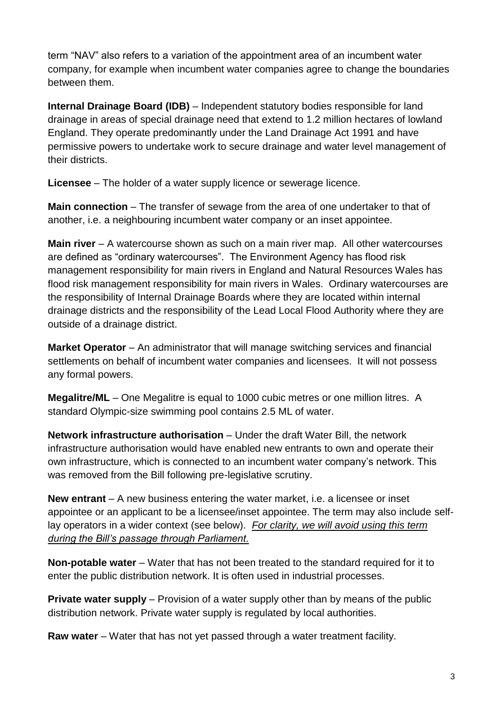term "NAV" also refers to a variation of the appointment area of an incumbent water company, for example when incumbent water companies agree to change the boundaries between them.

**Internal Drainage Board (IDB)** – Independent statutory bodies responsible for land drainage in areas of special drainage need that extend to 1.2 million hectares of lowland England. They operate predominantly under the Land Drainage Act 1991 and have permissive powers to undertake work to secure drainage and water level management of their districts.

**Licensee** – The holder of a water supply licence or sewerage licence.

**Main connection** – The transfer of sewage from the area of one undertaker to that of another, i.e. a neighbouring incumbent water company or an inset appointee.

**Main river** – A watercourse shown as such on a main river map. All other watercourses are defined as "ordinary watercourses". The Environment Agency has flood risk management responsibility for main rivers in England and Natural Resources Wales has flood risk management responsibility for main rivers in Wales. Ordinary watercourses are the responsibility of Internal Drainage Boards where they are located within internal drainage districts and the responsibility of the Lead Local Flood Authority where they are outside of a drainage district.

**Market Operator** – An administrator that will manage switching services and financial settlements on behalf of incumbent water companies and licensees. It will not possess any formal powers.

**Megalitre/ML** – One Megalitre is equal to 1000 cubic metres or one million litres. A standard Olympic-size swimming pool contains 2.5 ML of water.

**Network infrastructure authorisation** – Under the draft Water Bill, the network infrastructure authorisation would have enabled new entrants to own and operate their own infrastructure, which is connected to an incumbent water company's network. This was removed from the Bill following pre-legislative scrutiny.

**New entrant** – A new business entering the water market, i.e. a licensee or inset appointee or an applicant to be a licensee/inset appointee. The term may also include selflay operators in a wider context (see below). *For clarity, we will avoid using this term during the Bill's passage through Parliament.*

**Non-potable water** – Water that has not been treated to the standard required for it to enter the public distribution network. It is often used in industrial processes.

**Private water supply** – Provision of a water supply other than by means of the public distribution network. Private water supply is regulated by local authorities.

**Raw water** – Water that has not yet passed through a water treatment facility.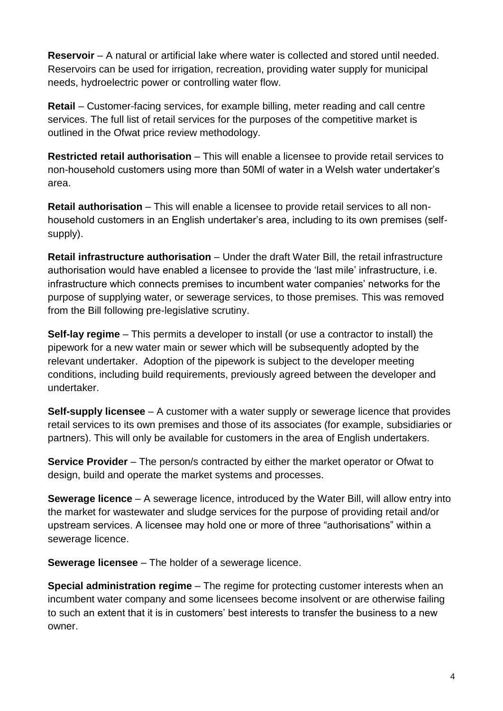**Reservoir** – A natural or artificial lake where water is collected and stored until needed. Reservoirs can be used for irrigation, recreation, providing water supply for municipal needs, hydroelectric power or controlling water flow.

**Retail** – Customer-facing services, for example billing, meter reading and call centre services. The full list of retail services for the purposes of the competitive market is outlined in the Ofwat price review methodology.

**Restricted retail authorisation** – This will enable a licensee to provide retail services to non-household customers using more than 50Ml of water in a Welsh water undertaker's area.

**Retail authorisation** – This will enable a licensee to provide retail services to all nonhousehold customers in an English undertaker's area, including to its own premises (selfsupply).

**Retail infrastructure authorisation** – Under the draft Water Bill, the retail infrastructure authorisation would have enabled a licensee to provide the 'last mile' infrastructure, i.e. infrastructure which connects premises to incumbent water companies' networks for the purpose of supplying water, or sewerage services, to those premises. This was removed from the Bill following pre-legislative scrutiny.

**Self-lay regime** – This permits a developer to install (or use a contractor to install) the pipework for a new water main or sewer which will be subsequently adopted by the relevant undertaker. Adoption of the pipework is subject to the developer meeting conditions, including build requirements, previously agreed between the developer and undertaker.

**Self-supply licensee** – A customer with a water supply or sewerage licence that provides retail services to its own premises and those of its associates (for example, subsidiaries or partners). This will only be available for customers in the area of English undertakers.

**Service Provider** – The person/s contracted by either the market operator or Ofwat to design, build and operate the market systems and processes.

**Sewerage licence** – A sewerage licence, introduced by the Water Bill, will allow entry into the market for wastewater and sludge services for the purpose of providing retail and/or upstream services. A licensee may hold one or more of three "authorisations" within a sewerage licence.

**Sewerage licensee** – The holder of a sewerage licence.

**Special administration regime** – The regime for protecting customer interests when an incumbent water company and some licensees become insolvent or are otherwise failing to such an extent that it is in customers' best interests to transfer the business to a new owner.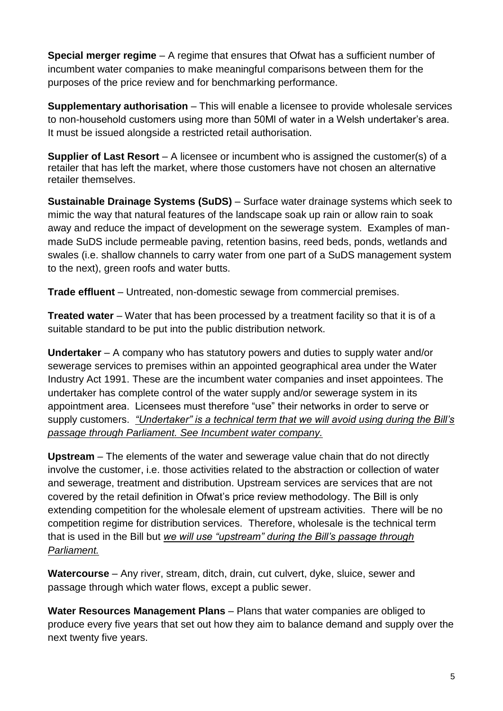**Special merger regime** – A regime that ensures that Ofwat has a sufficient number of incumbent water companies to make meaningful comparisons between them for the purposes of the price review and for benchmarking performance.

**Supplementary authorisation** – This will enable a licensee to provide wholesale services to non-household customers using more than 50Ml of water in a Welsh undertaker's area. It must be issued alongside a restricted retail authorisation.

**Supplier of Last Resort** – A licensee or incumbent who is assigned the customer(s) of a retailer that has left the market, where those customers have not chosen an alternative retailer themselves.

**Sustainable Drainage Systems (SuDS)** – Surface water drainage systems which seek to mimic the way that natural features of the landscape soak up rain or allow rain to soak away and reduce the impact of development on the sewerage system. Examples of manmade SuDS include permeable paving, retention basins, reed beds, ponds, wetlands and swales (i.e. shallow channels to carry water from one part of a SuDS management system to the next), green roofs and water butts.

**Trade effluent** – Untreated, non-domestic sewage from commercial premises.

**Treated water** – Water that has been processed by a treatment facility so that it is of a suitable standard to be put into the public distribution network.

**Undertaker** – A company who has statutory powers and duties to supply water and/or sewerage services to premises within an appointed geographical area under the Water Industry Act 1991. These are the incumbent water companies and inset appointees. The undertaker has complete control of the water supply and/or sewerage system in its appointment area. Licensees must therefore "use" their networks in order to serve or supply customers. *"Undertaker" is a technical term that we will avoid using during the Bill's passage through Parliament. See Incumbent water company.*

**Upstream** – The elements of the water and sewerage value chain that do not directly involve the customer, i.e. those activities related to the abstraction or collection of water and sewerage, treatment and distribution. Upstream services are services that are not covered by the retail definition in Ofwat's price review methodology. The Bill is only extending competition for the wholesale element of upstream activities. There will be no competition regime for distribution services. Therefore, wholesale is the technical term that is used in the Bill but *we will use "upstream" during the Bill's passage through Parliament.*

**Watercourse** – Any river, stream, ditch, drain, cut culvert, dyke, sluice, sewer and passage through which water flows, except a public sewer.

**Water Resources Management Plans** – Plans that water companies are obliged to produce every five years that set out how they aim to balance demand and supply over the next twenty five years.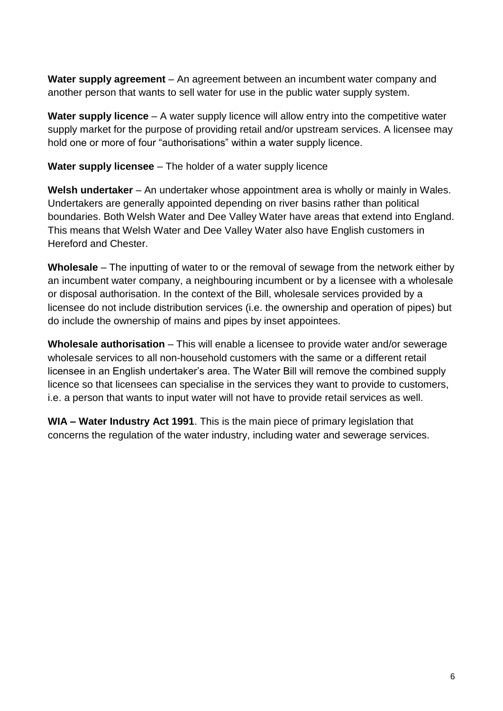**Water supply agreement** – An agreement between an incumbent water company and another person that wants to sell water for use in the public water supply system.

**Water supply licence** – A water supply licence will allow entry into the competitive water supply market for the purpose of providing retail and/or upstream services. A licensee may hold one or more of four "authorisations" within a water supply licence.

**Water supply licensee** – The holder of a water supply licence

**Welsh undertaker** – An undertaker whose appointment area is wholly or mainly in Wales. Undertakers are generally appointed depending on river basins rather than political boundaries. Both Welsh Water and Dee Valley Water have areas that extend into England. This means that Welsh Water and Dee Valley Water also have English customers in Hereford and Chester.

**Wholesale** – The inputting of water to or the removal of sewage from the network either by an incumbent water company, a neighbouring incumbent or by a licensee with a wholesale or disposal authorisation. In the context of the Bill, wholesale services provided by a licensee do not include distribution services (i.e. the ownership and operation of pipes) but do include the ownership of mains and pipes by inset appointees.

**Wholesale authorisation** – This will enable a licensee to provide water and/or sewerage wholesale services to all non-household customers with the same or a different retail licensee in an English undertaker's area. The Water Bill will remove the combined supply licence so that licensees can specialise in the services they want to provide to customers, i.e. a person that wants to input water will not have to provide retail services as well.

**WIA – Water Industry Act 1991**. This is the main piece of primary legislation that concerns the regulation of the water industry, including water and sewerage services.